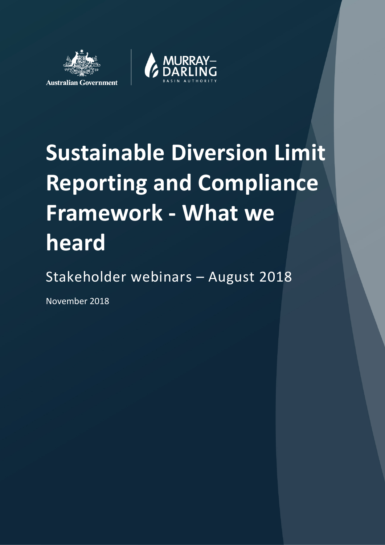



# **Sustainable Diversion Limit Reporting and Compliance Framework - What we heard**

# Stakeholder webinars – August 2018

November 2018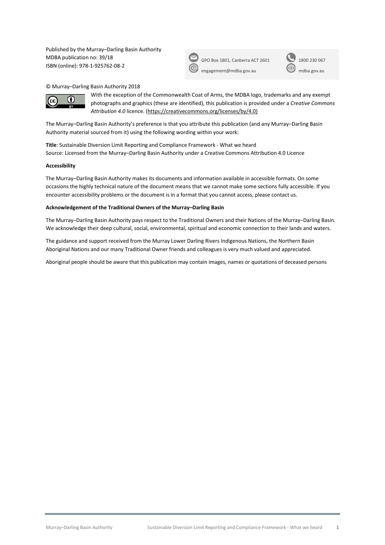Published by the Murray–Darling Basin Authority MDBA publication no: 39/18 ISBN (online): 978-1-925762-08-2

| GPO Box 1 |  |
|-----------|--|
|           |  |

801, Canberra ACT 2601 1800 230 067 [engagement@mdba.gov.au](mailto:engagement@mdba.gov.au) [mdba.gov.au](http://www.mdba.gov.au/)

© Murray–Darling Basin Authority 2018



With the exception of the Commonwealth Coat of Arms, the MDBA logo, trademarks and any exempt photographs and graphics (these are identified), this publication is provided under a *Creative Commons Attribution 4.0* licence. [\(https://creativecommons.org/licenses/by/4.0\)](https://creativecommons.org/licenses/by/4.0)

The Murray-Darling Basin Authority's preference is that you attribute this publication (and any Murray-Darling Basin Authority material sourced from it) using the following wording within your work:

**Title**: Sustainable Diversion Limit Reporting and Compliance Framework - What we heard Source: Licensed from the Murray–Darling Basin Authority under a Creative Commons Attribution 4.0 Licence

#### **Accessibility**

The Murray‒Darling Basin Authority makes its documents and information available in accessible formats. On some occasions the highly technical nature of the document means that we cannot make some sections fully accessible. If you encounter accessibility problems or the document is in a format that you cannot access, please contact us.

#### **Acknowledgement of the Traditional Owners of the Murray–Darling Basin**

The Murray−Darling Basin Authority pays respect to the Traditional Owners and their Nations of the Murray−Darling Basin. We acknowledge their deep cultural, social, environmental, spiritual and economic connection to their lands and waters.

The guidance and support received from the Murray Lower Darling Rivers Indigenous Nations, the Northern Basin Aboriginal Nations and our many Traditional Owner friends and colleagues is very much valued and appreciated.

Aboriginal people should be aware that this publication may contain images, names or quotations of deceased persons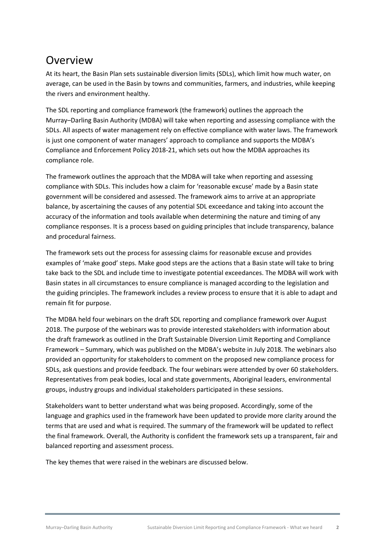## Overview

At its heart, the Basin Plan sets sustainable diversion limits (SDLs), which limit how much water, on average, can be used in the Basin by towns and communities, farmers, and industries, while keeping the rivers and environment healthy.

The SDL reporting and compliance framework (the framework) outlines the approach the Murray–Darling Basin Authority (MDBA) will take when reporting and assessing compliance with the SDLs. All aspects of water management rely on effective compliance with water laws. The framework is just one component of water managers' approach to compliance and supports the MDBA's Compliance and Enforcement Policy 2018-21, which sets out how the MDBA approaches its compliance role.

The framework outlines the approach that the MDBA will take when reporting and assessing compliance with SDLs. This includes how a claim for 'reasonable excuse' made by a Basin state government will be considered and assessed. The framework aims to arrive at an appropriate balance, by ascertaining the causes of any potential SDL exceedance and taking into account the accuracy of the information and tools available when determining the nature and timing of any compliance responses. It is a process based on guiding principles that include transparency, balance and procedural fairness.

The framework sets out the process for assessing claims for reasonable excuse and provides examples of 'make good' steps. Make good steps are the actions that a Basin state will take to bring take back to the SDL and include time to investigate potential exceedances. The MDBA will work with Basin states in all circumstances to ensure compliance is managed according to the legislation and the guiding principles. The framework includes a review process to ensure that it is able to adapt and remain fit for purpose.

The MDBA held four webinars on the draft SDL reporting and compliance framework over August 2018. The purpose of the webinars was to provide interested stakeholders with information about the draft framework as outlined in th[e Draft Sustainable Diversion Limit Reporting and Compliance](https://www.mdba.gov.au/sites/default/files/pubs/Sustainable-Diversion-Limit-Reporting-and-Compliance-Framework.pdf)  [Framework –](https://www.mdba.gov.au/sites/default/files/pubs/Sustainable-Diversion-Limit-Reporting-and-Compliance-Framework.pdf) Summary, which was published on the MDBA's website in July 2018. The webinars also provided an opportunity for stakeholders to comment on the proposed new compliance process for SDLs, ask questions and provide feedback. The four webinars were attended by over 60 stakeholders. Representatives from peak bodies, local and state governments, Aboriginal leaders, environmental groups, industry groups and individual stakeholders participated in these sessions.

Stakeholders want to better understand what was being proposed. Accordingly, some of the language and graphics used in the framework have been updated to provide more clarity around the terms that are used and what is required. The summary of the framework will be updated to reflect the final framework. Overall, the Authority is confident the framework sets up a transparent, fair and balanced reporting and assessment process.

The key themes that were raised in the webinars are discussed below.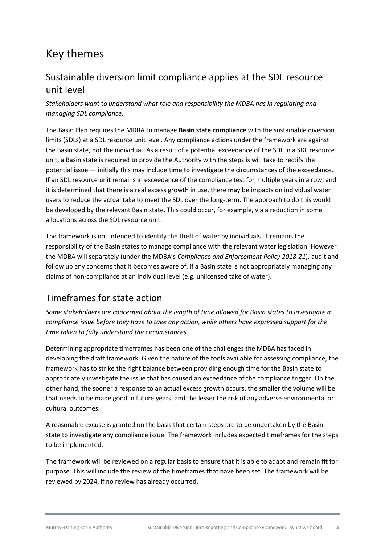# Key themes

#### Sustainable diversion limit compliance applies at the SDL resource unit level

*Stakeholders want to understand what role and responsibility the MDBA has in regulating and managing SDL compliance.*

The Basin Plan requires the MDBA to manage **Basin state compliance** with the sustainable diversion limits (SDLs) at a SDL resource unit level. Any compliance actions under the framework are against the Basin state, not the individual. As a result of a potential exceedance of the SDL in a SDL resource unit, a Basin state is required to provide the Authority with the steps is will take to rectify the potential issue — initially this may include time to investigate the circumstances of the exceedance. If an SDL resource unit remains in exceedance of the compliance test for multiple years in a row, and it is determined that there is a real excess growth in use, there may be impacts on individual water users to reduce the actual take to meet the SDL over the long-term. The approach to do this would be developed by the relevant Basin state. This could occur, for example, via a reduction in some allocations across the SDL resource unit.

The framework is not intended to identify the theft of water by individuals. It remains the responsibility of the Basin states to manage compliance with the relevant water legislation. However the MDBA will separately (under the MDBA's *Compliance and Enforcement Policy 2018-21*), audit and follow up any concerns that it becomes aware of, if a Basin state is not appropriately managing any claims of non-compliance at an individual level (e.g. unlicensed take of water).

### Timeframes for state action

*Some stakeholders are concerned about the length of time allowed for Basin states to investigate a compliance issue before they have to take any action, while others have expressed support for the time taken to fully understand the circumstances.* 

Determining appropriate timeframes has been one of the challenges the MDBA has faced in developing the draft framework. Given the nature of the tools available for assessing compliance, the framework has to strike the right balance between providing enough time for the Basin state to appropriately investigate the issue that has caused an exceedance of the compliance trigger. On the other hand, the sooner a response to an actual excess growth occurs, the smaller the volume will be that needs to be made good in future years, and the lesser the risk of any adverse environmental or cultural outcomes.

A reasonable excuse is granted on the basis that certain steps are to be undertaken by the Basin state to investigate any compliance issue. The framework includes expected timeframes for the steps to be implemented.

The framework will be reviewed on a regular basis to ensure that it is able to adapt and remain fit for purpose. This will include the review of the timeframes that have been set. The framework will be reviewed by 2024, if no review has already occurred.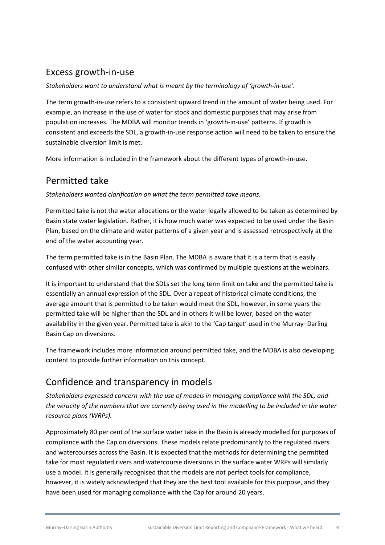#### Excess growth-in-use

#### *Stakeholders want to understand what is meant by the terminology of 'growth-in-use'.*

The term growth-in-use refers to a consistent upward trend in the amount of water being used. For example, an increase in the use of water for stock and domestic purposes that may arise from population increases. The MDBA will monitor trends in 'growth-in-use' patterns. If growth is consistent and exceeds the SDL, a growth-in-use response action will need to be taken to ensure the sustainable diversion limit is met.

More information is included in the framework about the different types of growth-in-use.

#### Permitted take

*Stakeholders wanted clarification on what the term permitted take means.*

Permitted take is not the water allocations or the water legally allowed to be taken as determined by Basin state water legislation. Rather, it is how much water was expected to be used under the Basin Plan, based on the climate and water patterns of a given year and is assessed retrospectively at the end of the water accounting year.

The term permitted take is in the Basin Plan. The MDBA is aware that it is a term that is easily confused with other similar concepts, which was confirmed by multiple questions at the webinars.

It is important to understand that the SDLs set the long term limit on take and the permitted take is essentially an annual expression of the SDL. Over a repeat of historical climate conditions, the average amount that is permitted to be taken would meet the SDL, however, in some years the permitted take will be higher than the SDL and in others it will be lower, based on the water availability in the given year. Permitted take is akin to the 'Cap target' used in the Murray–Darling Basin Cap on diversions.

The framework includes more information around permitted take, and the MDBA is also developing content to provide further information on this concept.

#### Confidence and transparency in models

*Stakeholders expressed concern with the use of models in managing compliance with the SDL, and the veracity of the numbers that are currently being used in the modelling to be included in the water resource plans (WRPs).* 

Approximately 80 per cent of the surface water take in the Basin is already modelled for purposes of compliance with the Cap on diversions. These models relate predominantly to the regulated rivers and watercourses across the Basin. It is expected that the methods for determining the permitted take for most regulated rivers and watercourse diversions in the surface water WRPs will similarly use a model. It is generally recognised that the models are not perfect tools for compliance, however, it is widely acknowledged that they are the best tool available for this purpose, and they have been used for managing compliance with the Cap for around 20 years.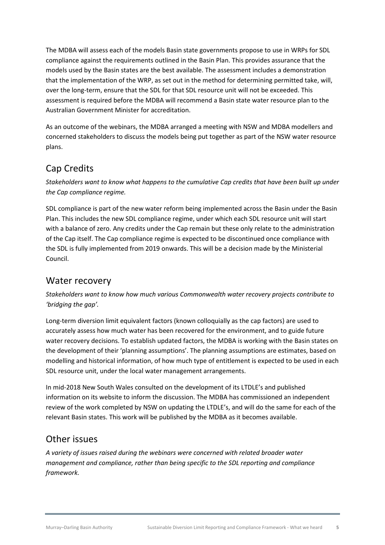The MDBA will assess each of the models Basin state governments propose to use in WRPs for SDL compliance against the requirements outlined in the Basin Plan. This provides assurance that the models used by the Basin states are the best available. The assessment includes a demonstration that the implementation of the WRP, as set out in the method for determining permitted take, will, over the long-term, ensure that the SDL for that SDL resource unit will not be exceeded. This assessment is required before the MDBA will recommend a Basin state water resource plan to the Australian Government Minister for accreditation.

As an outcome of the webinars, the MDBA arranged a meeting with NSW and MDBA modellers and concerned stakeholders to discuss the models being put together as part of the NSW water resource plans.

#### Cap Credits

*Stakeholders want to know what happens to the cumulative Cap credits that have been built up under the Cap compliance regime.* 

SDL compliance is part of the new water reform being implemented across the Basin under the Basin Plan. This includes the new SDL compliance regime, under which each SDL resource unit will start with a balance of zero. Any credits under the Cap remain but these only relate to the administration of the Cap itself. The Cap compliance regime is expected to be discontinued once compliance with the SDL is fully implemented from 2019 onwards. This will be a decision made by the Ministerial Council.

#### Water recovery

*Stakeholders want to know how much various Commonwealth water recovery projects contribute to 'bridging the gap'.* 

Long-term diversion limit equivalent factors (known colloquially as the cap factors) are used to accurately assess how much water has been recovered for the environment, and to guide future water recovery decisions. To establish updated factors, the MDBA is working with the Basin states on the development of their 'planning assumptions'. The planning assumptions are estimates, based on modelling and historical information, of how much type of entitlement is expected to be used in each SDL resource unit, under the local water management arrangements.

In mid-2018 New South Wales consulted on the development of its LTDLE's and published information on its website to inform the discussion. The MDBA has commissioned an independent review of the work completed by NSW on updating the LTDLE's, and will do the same for each of the relevant Basin states. This work will be published by the MDBA as it becomes available.

#### Other issues

*A variety of issues raised during the webinars were concerned with related broader water management and compliance, rather than being specific to the SDL reporting and compliance framework.*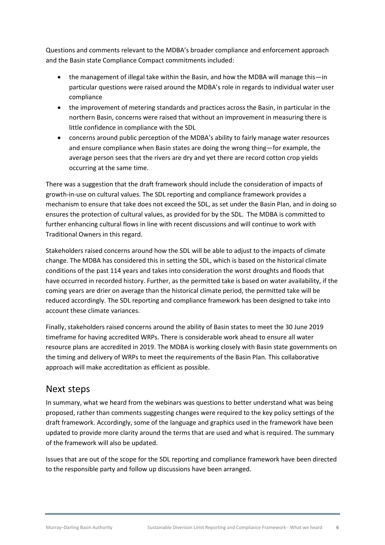Questions and comments relevant to the MDBA's broader compliance and enforcement approach and the Basin state Compliance Compact commitments included:

- the management of illegal take within the Basin, and how the MDBA will manage this—in particular questions were raised around the MDBA's role in regards to individual water user compliance
- the improvement of metering standards and practices across the Basin, in particular in the northern Basin, concerns were raised that without an improvement in measuring there is little confidence in compliance with the SDL
- concerns around public perception of the MDBA's ability to fairly manage water resources and ensure compliance when Basin states are doing the wrong thing—for example, the average person sees that the rivers are dry and yet there are record cotton crop yields occurring at the same time.

There was a suggestion that the draft framework should include the consideration of impacts of growth-in-use on cultural values. The SDL reporting and compliance framework provides a mechanism to ensure that take does not exceed the SDL, as set under the Basin Plan, and in doing so ensures the protection of cultural values, as provided for by the SDL. The MDBA is committed to further enhancing cultural flows in line with recent discussions and will continue to work with Traditional Owners in this regard.

Stakeholders raised concerns around how the SDL will be able to adjust to the impacts of climate change. The MDBA has considered this in setting the SDL, which is based on the historical climate conditions of the past 114 years and takes into consideration the worst droughts and floods that have occurred in recorded history. Further, as the permitted take is based on water availability, if the coming years are drier on average than the historical climate period, the permitted take will be reduced accordingly. The SDL reporting and compliance framework has been designed to take into account these climate variances.

Finally, stakeholders raised concerns around the ability of Basin states to meet the 30 June 2019 timeframe for having accredited WRPs. There is considerable work ahead to ensure all water resource plans are accredited in 2019. The MDBA is working closely with Basin state governments on the timing and delivery of WRPs to meet the requirements of the Basin Plan. This collaborative approach will make accreditation as efficient as possible.

#### Next steps

In summary, what we heard from the webinars was questions to better understand what was being proposed, rather than comments suggesting changes were required to the key policy settings of the draft framework. Accordingly, some of the language and graphics used in the framework have been updated to provide more clarity around the terms that are used and what is required. The summary of the framework will also be updated.

Issues that are out of the scope for the SDL reporting and compliance framework have been directed to the responsible party and follow up discussions have been arranged.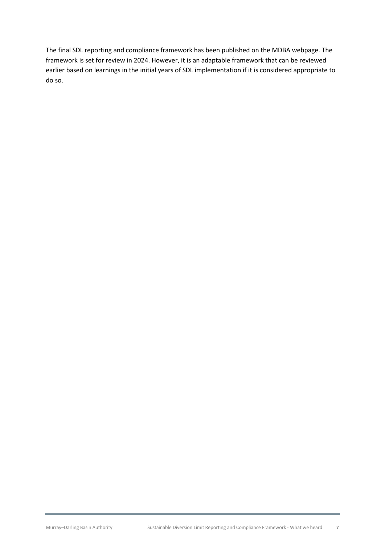The final SDL reporting and compliance framework has been published on the MDBA webpage. The framework is set for review in 2024. However, it is an adaptable framework that can be reviewed earlier based on learnings in the initial years of SDL implementation if it is considered appropriate to do so.